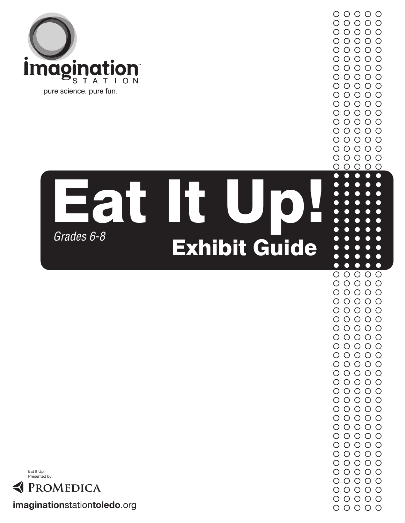

## Exhibit Guide **Eat It U** *Grades 6-8*



**imagination**station**toledo**.org

 $\bullet$  $\bullet$  $\bullet$ C  $\bullet$  $00000$  $00000$  $00000$  $00000$  $00000$  $\circ \circ \circ \circ \circ$  $\circ \circ \circ \circ \circ$  $\begin{array}{ccc} \circ & \circ & \circ & \circ & \circ \end{array}$  $00000$  $00000$  $00000$  $00000$  $00000$  $\circ \circ \circ \circ \circ$  $\circ \circ \circ \circ \circ$  $\begin{array}{ccc} \circ & \circ & \circ & \circ & \circ \end{array}$  $00000$  $00000$  $00000$  $00000$  $00000$  $00000$  $00000$  $\begin{array}{ccc} \circ & \circ & \circ & \circ & \circ \end{array}$  $00000$  $00000$  $\circ \circ \circ \circ \circ$ 

 $\circ \circ \circ \circ \circ$  $00000$  $00000$  $00000$  $\begin{array}{ccc} \circ & \circ & \circ & \circ & \circ \end{array}$  $00000$ 

 $00000$  $00000$ 

 $00000$ 

 $\circ$ 

∩

 $\circ$   $\circ$ 

 $\overline{\phantom{0}}$ ┍ C

 $\circ$ 

 $\bullet$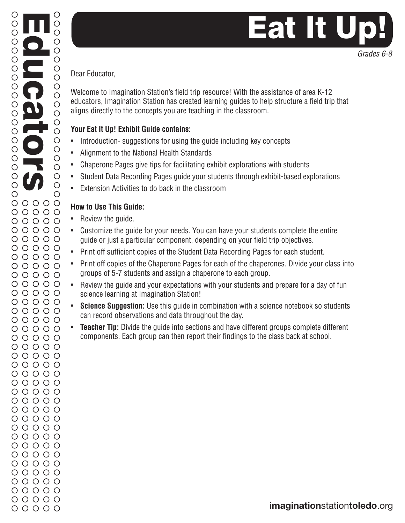*Grades 6-8*

Dear Educator,

Educators

O

 $\overline{O}$ 

O  $\bigcirc$ 

 $\bigcirc$  $\bigcirc$ 

 $\overline{O}$ 

 $\bigcirc$  $\overline{O}$ 

 $\bigcirc$  $\overline{O}$  $\bigcirc$ 

 $\circ$ 

 $\bigcirc$  $\circ$ 

 $\bigcirc$  $\circ$ 

 $\bigcirc$ 

 $\overline{O}$ 

 $\bigcirc$ 

 $\bigcirc$ 

 $\circ$ 

 $\circ$ 

 $\bigcirc$ 

 $\bigcirc$ 

 $\bigcirc$  $\bigcirc$ 

 $\circ$ 

 $\circ$ 

 $\bigcirc$ 

 $\overline{O}$ 

 $\begin{array}{c}\n0 \\
0\n\end{array}$ 

 $\bigcirc$ 

 $\bigcirc$ 

 $\bigcirc$ 

 $\bigcirc$  $\bigcirc$  Welcome to Imagination Station's field trip resource! With the assistance of area K-12 educators, Imagination Station has created learning guides to help structure a field trip that aligns directly to the concepts you are teaching in the classroom.

### **Your Eat It Up! Exhibit Guide contains:**

- Introduction-suggestions for using the guide including key concepts
- Alignment to the National Health Standards
- Chaperone Pages give tips for facilitating exhibit explorations with students
- Student Data Recording Pages guide your students through exhibit-based explorations
- Extension Activities to do back in the classroom

### **How to Use This Guide:**

- Review the guide.
- Customize the guide for your needs. You can have your students complete the entire guide or just a particular component, depending on your field trip objectives.
- Print off sufficient copies of the Student Data Recording Pages for each student.
- Print off copies of the Chaperone Pages for each of the chaperones. Divide your class into groups of 5-7 students and assign a chaperone to each group.
- Review the guide and your expectations with your students and prepare for a day of fun science learning at Imagination Station!
- **Science Suggestion:** Use this guide in combination with a science notebook so students can record observations and data throughout the day.
- **Teacher Tip:** Divide the guide into sections and have different groups complete different components. Each group can then report their findings to the class back at school.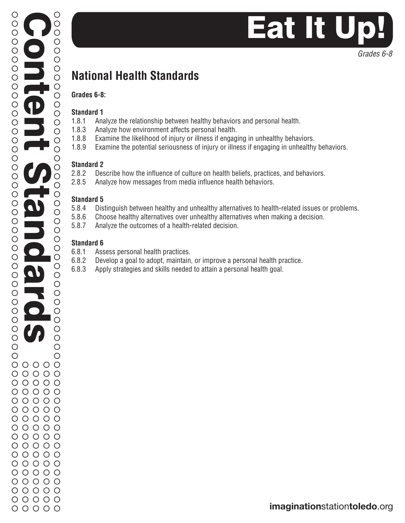# Eat It U

*Grades 6-8*

### **National Health Standards**

#### **Grades 6-8:**

#### **Standard 1**

- 1.8.1 Analyze the relationship between healthy behaviors and personal health.
- 1.8.3 Analyze how environment affects personal health.
- 1.8.8 Examine the likelihood of injury or illness if engaging in unhealthy behaviors.
- 1.8.9 Examine the potential seriousness of injury or illness if engaging in unhealthy behaviors.

### **Standard 2**

- 2.8.2 Describe how the influence of culture on health beliefs, practices, and behaviors.
- 2.8.5 Analyze how messages from media influence health behaviors.

### **Standard 5**

- 5.8.4 Distinguish between healthy and unhealthy alternatives to health-related issues or problems.
- 5.8.6 Choose healthy alternatives over unhealthy alternatives when making a decision.
- 5.8.7 Analyze the outcomes of a health-related decision.

### **Standard 6**

- 6.8.1 Assess personal health practices.
- 6.8.2 Develop a goal to adopt, maintain, or improve a personal health practice.
- 6.8.3 Apply strategies and skills needed to attain a personal health goal.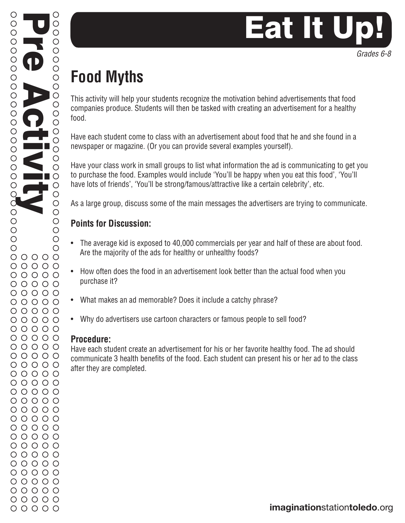

# Eat It Ur

## **Food Myths**

This activity will help your students recognize the motivation behind advertisements that food companies produce. Students will then be tasked with creating an advertisement for a healthy food.

Have each student come to class with an advertisement about food that he and she found in a newspaper or magazine. (Or you can provide several examples yourself).

Have your class work in small groups to list what information the ad is communicating to get you to purchase the food. Examples would include 'You'll be happy when you eat this food', 'You'll have lots of friends', 'You'll be strong/famous/attractive like a certain celebrity', etc.

As a large group, discuss some of the main messages the advertisers are trying to communicate.

### **Points for Discussion:**

- The average kid is exposed to 40,000 commercials per year and half of these are about food. Are the majority of the ads for healthy or unhealthy foods?
- How often does the food in an advertisement look better than the actual food when you purchase it?
- What makes an ad memorable? Does it include a catchy phrase?
- Why do advertisers use cartoon characters or famous people to sell food?

### **Procedure:**

Have each student create an advertisement for his or her favorite healthy food. The ad should communicate 3 health benefits of the food. Each student can present his or her ad to the class after they are completed.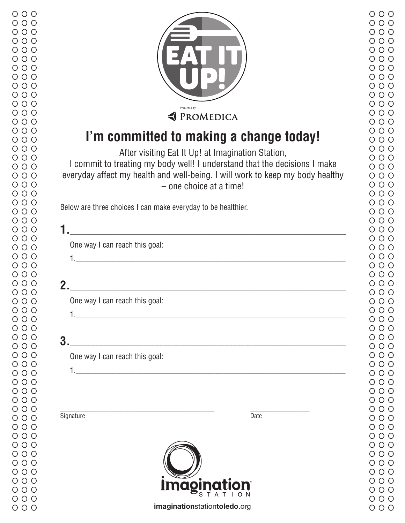$000$ 



### **I'm committed to making a change today!**

After visiting Eat It Up! at Imagination Station,

I commit to treating my body well! I understand that the decisions I make everyday affect my health and well-being. I will work to keep my body healthy – one choice at a time!

Below are three choices I can make everyday to be healthier.

|    | One way I can reach this goal: |
|----|--------------------------------|
|    |                                |
| 2. |                                |
|    | One way I can reach this goal: |
| 3. |                                |
|    | One way I can reach this goal: |
|    |                                |
|    | Signature<br>Date              |
|    |                                |

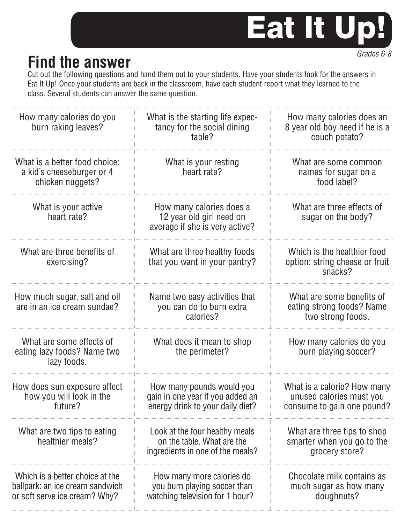## Eat It Up!

### **Find the answer**

Cut out the following questions and hand them out to your students. Have your students look for the answers in Eat It Up! Once your students are back in the classroom, have each student report what they learned to the class. Several students can answer the same question.

| How many calories do you<br>burn raking leaves?                                                     | What is the starting life expec-<br>tancy for the social dining<br>table?                         | How many calories does an<br>8 year old boy need if he is a<br>couch potato?          |
|-----------------------------------------------------------------------------------------------------|---------------------------------------------------------------------------------------------------|---------------------------------------------------------------------------------------|
| What is a better food choice:<br>a kid's cheeseburger or 4<br>chicken nuggets?                      | What is your resting<br>heart rate?                                                               | What are some common<br>names for sugar on a<br>food label?                           |
| What is your active<br>heart rate?                                                                  | How many calories does a<br>12 year old girl need on<br>average if she is very active?            | What are three effects of<br>sugar on the body?                                       |
| What are three benefits of<br>exercising?                                                           | What are three healthy foods<br>that you want in your pantry?                                     | Which is the healthier food<br>option: string cheese or fruit<br>snacks?              |
| How much sugar, salt and oil<br>are in an ice cream sundae?                                         | Name two easy activities that<br>you can do to burn extra<br>calories?                            | What are some benefits of<br>eating strong foods? Name<br>two strong foods.           |
| What are some effects of<br>eating lazy foods? Name two<br>lazy foods.                              | What does it mean to shop<br>the perimeter?                                                       | How many calories do you<br>burn playing soccer?                                      |
| How does sun exposure affect<br>how you will look in the<br>future?                                 | How many pounds would you<br>gain in one year if you added an<br>energy drink to your daily diet? | What is a calorie? How many<br>unused calories must you<br>consume to gain one pound? |
| What are two tips to eating<br>healthier meals?                                                     | Look at the four healthy meals<br>on the table. What are the<br>ingredients in one of the meals?  | What are three tips to shop<br>smarter when you go to the<br>grocery store?           |
| Which is a better choice at the<br>ballpark: an ice cream sandwich<br>or soft serve ice cream? Why? | How many more calories do<br>you burn playing soccer than<br>watching television for 1 hour?      | Chocolate milk contains as<br>much sugar as how many<br>doughnuts?                    |

*Grades 6-8*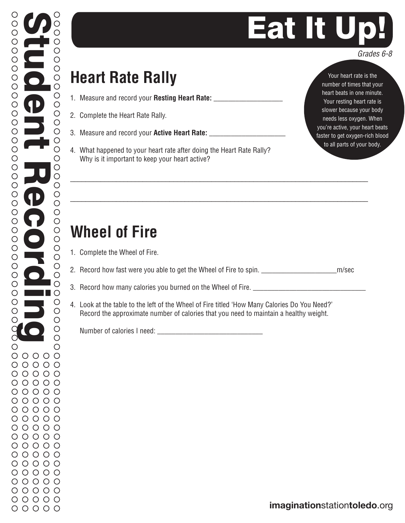# Eat It U

### **Heart Rate Rally**

- 1. Measure and record your **Resting Heart Rate:** \_\_\_\_\_\_\_\_\_\_\_\_\_\_\_\_\_\_\_
- 2. Complete the Heart Rate Rally.
- 3. Measure and record your **Active Heart Rate:** \_\_\_\_\_\_\_\_\_\_\_\_\_\_\_\_\_\_\_\_\_
- 4. What happened to your heart rate after doing the Heart Rate Rally? Why is it important to keep your heart active?

Your heart rate is the number of times that your heart beats in one minute. Your resting heart rate is slower because your body needs less oxygen. When you're active, your heart beats faster to get oxygen-rich blood to all parts of your body.

### **Wheel of Fire**

- 1. Complete the Wheel of Fire.
- 2. Record how fast were you able to get the Wheel of Fire to spin. \_\_\_\_\_\_\_\_\_\_\_\_\_\_\_\_\_\_\_\_\_m/sec

\_\_\_\_\_\_\_\_\_\_\_\_\_\_\_\_\_\_\_\_\_\_\_\_\_\_\_\_\_\_\_\_\_\_\_\_\_\_\_\_\_\_\_\_\_\_\_\_\_\_\_\_\_\_\_\_\_\_\_\_\_\_\_\_\_\_\_\_\_\_\_\_\_\_\_\_\_\_

\_\_\_\_\_\_\_\_\_\_\_\_\_\_\_\_\_\_\_\_\_\_\_\_\_\_\_\_\_\_\_\_\_\_\_\_\_\_\_\_\_\_\_\_\_\_\_\_\_\_\_\_\_\_\_\_\_\_\_\_\_\_\_\_\_\_\_\_\_\_\_\_\_\_\_\_\_\_

- 3. Record how many calories you burned on the Wheel of Fire.
- 4. Look at the table to the left of the Wheel of Fire titled 'How Many Calories Do You Need?' Record the approximate number of calories that you need to maintain a healthy weight.

Number of calories I need: \_\_\_\_\_\_\_\_\_\_\_\_\_\_\_\_\_\_\_\_\_\_\_\_\_\_\_\_\_

*Grades 6-8*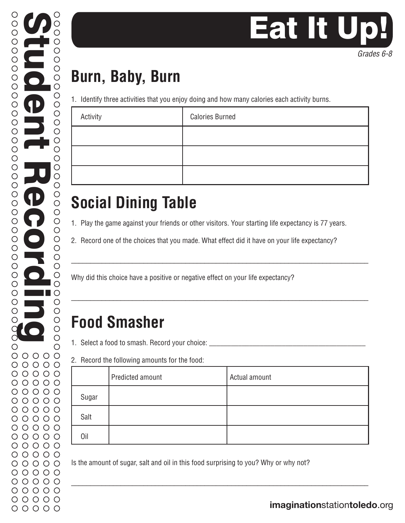# Eat It U

## **Burn, Baby, Burn**

1. Identify three activities that you enjoy doing and how many calories each activity burns.

| Activity | <b>Calories Burned</b> |
|----------|------------------------|
|          |                        |
|          |                        |
|          |                        |

## **Social Dining Table**

1. Play the game against your friends or other visitors. Your starting life expectancy is 77 years.

\_\_\_\_\_\_\_\_\_\_\_\_\_\_\_\_\_\_\_\_\_\_\_\_\_\_\_\_\_\_\_\_\_\_\_\_\_\_\_\_\_\_\_\_\_\_\_\_\_\_\_\_\_\_\_\_\_\_\_\_\_\_\_\_\_\_\_\_\_\_\_\_\_\_\_\_\_\_

\_\_\_\_\_\_\_\_\_\_\_\_\_\_\_\_\_\_\_\_\_\_\_\_\_\_\_\_\_\_\_\_\_\_\_\_\_\_\_\_\_\_\_\_\_\_\_\_\_\_\_\_\_\_\_\_\_\_\_\_\_\_\_\_\_\_\_\_\_\_\_\_\_\_\_\_\_\_

2. Record one of the choices that you made. What effect did it have on your life expectancy?

Why did this choice have a positive or negative effect on your life expectancy?

### **Food Smasher**

1. Select a food to smash. Record your choice:  $\_$ 

2. Record the following amounts for the food:

|       | Predicted amount | Actual amount |
|-------|------------------|---------------|
| Sugar |                  |               |
| Salt  |                  |               |
| Oil   |                  |               |

\_\_\_\_\_\_\_\_\_\_\_\_\_\_\_\_\_\_\_\_\_\_\_\_\_\_\_\_\_\_\_\_\_\_\_\_\_\_\_\_\_\_\_\_\_\_\_\_\_\_\_\_\_\_\_\_\_\_\_\_\_\_\_\_\_\_\_\_\_\_\_\_\_\_\_\_\_\_

Is the amount of sugar, salt and oil in this food surprising to you? Why or why not?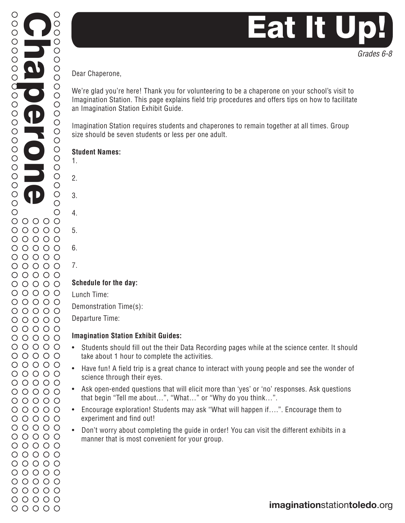

Dear Chaperone,

We're glad you're here! Thank you for volunteering to be a chaperone on your school's visit to Imagination Station. This page explains field trip procedures and offers tips on how to facilitate an Imagination Station Exhibit Guide.

Imagination Station requires students and chaperones to remain together at all times. Group size should be seven students or less per one adult.

#### **Student Names:**

- 1.
- 2.
- 3.
- 4.
- 5.
- 6.
- 7.

### **Schedule for the day:**

Lunch Time:

Demonstration Time(s):

Departure Time:

### **Imagination Station Exhibit Guides:**

- Students should fill out the their Data Recording pages while at the science center. It should take about 1 hour to complete the activities.
- Have fun! A field trip is a great chance to interact with young people and see the wonder of science through their eyes.
- Ask open-ended questions that will elicit more than 'yes' or 'no' responses. Ask questions that begin "Tell me about…", "What…" or "Why do you think…".
- Encourage exploration! Students may ask "What will happen if….". Encourage them to experiment and find out!
- Don't worry about completing the guide in order! You can visit the different exhibits in a manner that is most convenient for your group.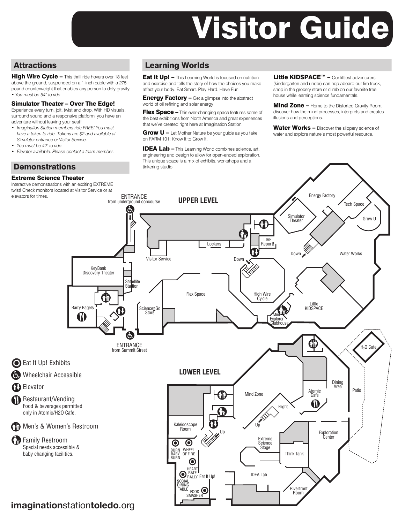# Visitor Guide

### **Attractions**

High Wire Cycle - This thrill ride hovers over 18 feet above the ground, suspended on a 1-inch cable with a 275 pound counterweight that enables any person to defy gravity. *• You must be 54" to ride*

#### Simulator Theater – Over The Edge!

Experience every turn, jolt, twist and drop. With HD visuals, surround sound and a responsive platform, you have an adventure without leaving your seat!

- *Imagination Station members ride FREE! You must have a token to ride. Tokens are \$2 and available at Simulator entrance or Visitor Service.*
- *You must be 42" to ride.*
- *Elevator available. Please contact a team member.*

### **Demonstrations**

#### Extreme Science Theater

Interactive demonstrations with an exciting EXTREME twist! Check monitors located at Visitor Service or at elevators for times.

### Learning Worlds

**Eat It Up! - This Learning World is focused on nutrition** and exercise and tells the story of how the choices you make affect your body. Eat Smart. Play Hard. Have Fun.

**Energy Factory –** Get a glimpse into the abstract world of oil refining and solar energy.

Flex Space - This ever-changing space features some of the best exhibitions from North America and great experiences that we've created right here at Imagination Station.

**Grow**  $U$  **– Let Mother Nature be your quide as you take** on FARM 101: Know It to Grow It.

IDEA Lab – This Learning World combines science, art, engineering and design to allow for open-ended exploration. This unique space is a mix of exhibits, workshops and a tinkering studio.

Little KIDSPACE<sup>™</sup> – Our littlest adventurers (kindergarten and under) can hop aboard our fire truck, shop in the grocery store or climb on our favorite tree house while learning science fundamentals.

Mind Zone - Home to the Distorted Gravity Room, discover how the mind processes, interprets and creates illusions and perceptions.

Water Works - Discover the slippery science of water and explore nature's most powerful resource.

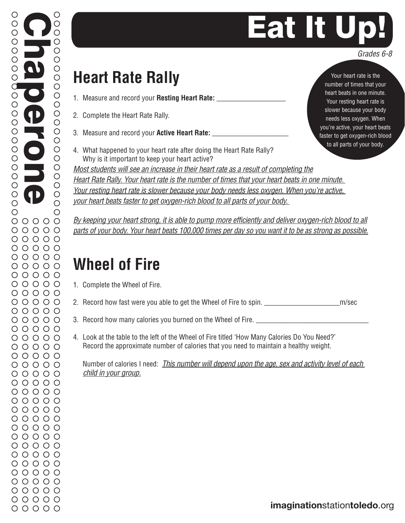# **Eat It Ur**

### **Heart Rate Rally**

- 1. Measure and record your **Resting Heart Rate:** \_\_\_\_\_\_\_\_\_\_\_\_\_\_\_\_\_\_\_
- 2. Complete the Heart Rate Rally.

Chaperone

O

O

 $\overline{O}$ 

O

О

 $\bigcirc$  $\bigcirc$ 

 $\overline{O}$ 

 $\begin{array}{c}\n0 \\
0\n\end{array}$ 

 $\bigcirc$ 

 $\bigcirc$ 

 $\bigcirc$ 

 $\bigcirc$ 

 $\bigcirc$ 

 $\begin{array}{c}\n0 \\
0\n\end{array}$ 

 $\bigcirc$ 

 $\bigcirc$ 

 $\bigcirc$ 

 $\bigcirc$ 

 $\bigcirc$ 

 $\bigcirc$ 

 $\circ$ 

 $\bigcirc$ 

 $\bigcirc$ 

 $\bigcirc$ 

 $\bigcirc$ 

 $\bigcirc$ 

 $\bigcirc$ 

 $\bigcirc$ 

d  $\bigcirc$ 

 $\bigcirc$ 

 $\bigcirc$ 

 $\bigcirc$  $\bigcirc$ 

 $\bigcirc$ 

 $\bigcirc$  $\circ$ 

 $\bigcirc$ 

 $\bigcirc$ 

 $\bigcirc$  $\bigcirc$ 

 $\bigcirc$ 

 $\bigcirc$ 

- 3. Measure and record your **Active Heart Rate:** \_\_\_\_\_\_\_\_\_\_\_\_\_\_\_\_\_\_\_\_\_
- 4. What happened to your heart rate after doing the Heart Rate Rally? Why is it important to keep your heart active?

*Most students will see an increase in their heart rate as a result of completing the Heart Rate Rally. Your heart rate is the number of times that your heart beats in one minute. Your resting heart rate is slower because your body needs less oxygen. When you're active, your heart beats faster to get oxygen-rich blood to all parts of your body.* 

*By keeping your heart strong, it is able to pump more efficiently and deliver oxygen-rich blood to all parts of your body. Your heart beats 100,000 times per day so you want it to be as strong as possible.*

### **Wheel of Fire**

- 1. Complete the Wheel of Fire.
- 2. Record how fast were you able to get the Wheel of Fire to spin. \_\_\_\_\_\_\_\_\_\_\_\_\_\_\_\_\_\_\_\_\_m/sec
- 3. Record how many calories you burned on the Wheel of Fire.
- 4. Look at the table to the left of the Wheel of Fire titled 'How Many Calories Do You Need?' Record the approximate number of calories that you need to maintain a healthy weight.

 Number of calories I need: *This number will depend upon the age, sex and activity level of each child in your group.*

Your heart rate is the number of times that your heart beats in one minute. Your resting heart rate is slower because your body needs less oxygen. When you're active, your heart beats faster to get oxygen-rich blood to all parts of your body.

*Grades 6-8*